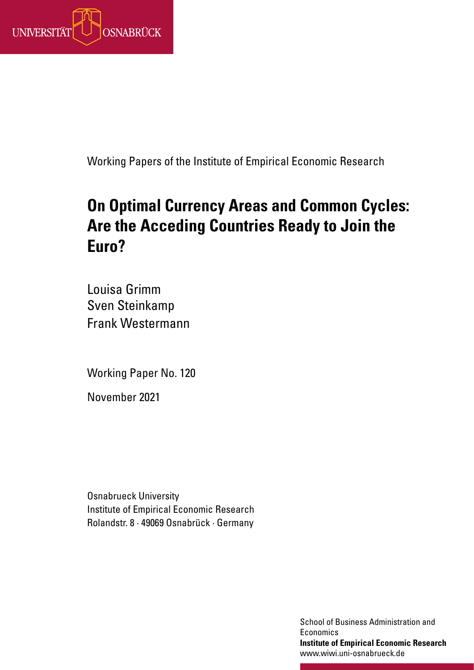

Working Papers of the Institute of Empirical Economic Research

# **On Optimal Currency Areas and Common Cycles: Are the Acceding Countries Ready to Join the Euro?**

Louisa Grimm Sven Steinkamp Frank Westermann

Working Paper No. 120

November 2021

Osnabrueck University Institute of Empirical Economic Research Rolandstr. 8 · 49069 Osnabrück · Germany

> School of Business Administration and **Economics Institute of Empirical Economic Research** www.wiwi.uni-osnabrueck.de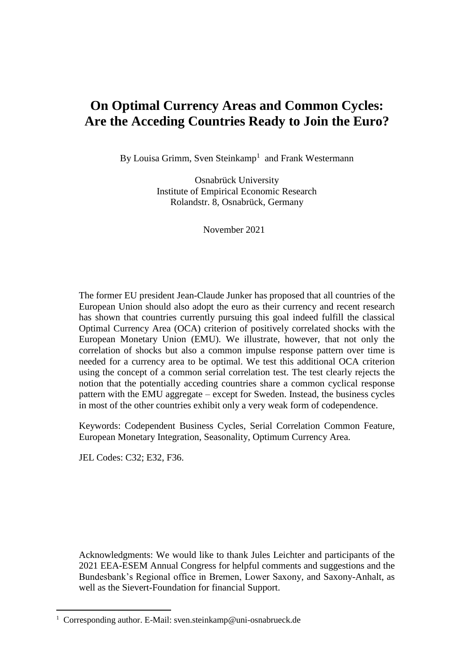# **On Optimal Currency Areas and Common Cycles: Are the Acceding Countries Ready to Join the Euro?**

By Louisa Grimm, Sven Steinkamp<sup>1</sup> and Frank Westermann

Osnabrück University Institute of Empirical Economic Research Rolandstr. 8, Osnabrück, Germany

November 2021

The former EU president Jean-Claude Junker has proposed that all countries of the European Union should also adopt the euro as their currency and recent research has shown that countries currently pursuing this goal indeed fulfill the classical Optimal Currency Area (OCA) criterion of positively correlated shocks with the European Monetary Union (EMU). We illustrate, however, that not only the correlation of shocks but also a common impulse response pattern over time is needed for a currency area to be optimal. We test this additional OCA criterion using the concept of a common serial correlation test. The test clearly rejects the notion that the potentially acceding countries share a common cyclical response pattern with the EMU aggregate – except for Sweden. Instead, the business cycles in most of the other countries exhibit only a very weak form of codependence.

Keywords: Codependent Business Cycles, Serial Correlation Common Feature, European Monetary Integration, Seasonality, Optimum Currency Area.

JEL Codes: C32; E32, F36.

**.** 

Acknowledgments: We would like to thank Jules Leichter and participants of the 2021 EEA-ESEM Annual Congress for helpful comments and suggestions and the Bundesbank's Regional office in Bremen, Lower Saxony, and Saxony-Anhalt, as well as the Sievert-Foundation for financial Support.

<sup>&</sup>lt;sup>1</sup> Corresponding author. E-Mail: sven.steinkamp@uni-osnabrueck.de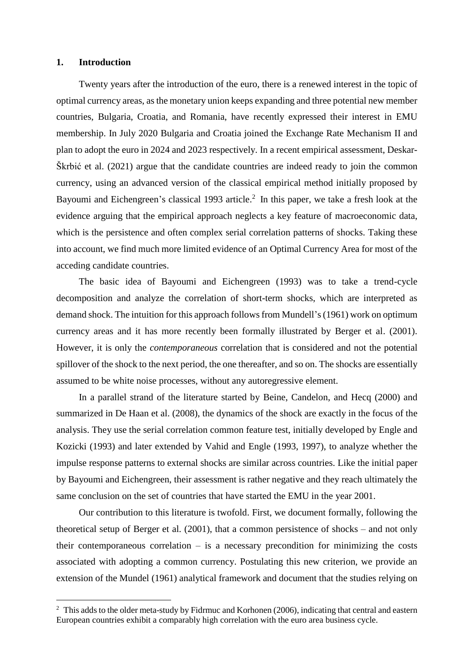# **1. Introduction**

**.** 

Twenty years after the introduction of the euro, there is a renewed interest in the topic of optimal currency areas, as the monetary union keeps expanding and three potential new member countries, Bulgaria, Croatia, and Romania, have recently expressed their interest in EMU membership. In July 2020 Bulgaria and Croatia joined the Exchange Rate Mechanism II and plan to adopt the euro in 2024 and 2023 respectively. In a recent empirical assessment, Deskar-Škrbić et al. (2021) argue that the candidate countries are indeed ready to join the common currency, using an advanced version of the classical empirical method initially proposed by Bayoumi and Eichengreen's classical 1993 article.<sup>2</sup> In this paper, we take a fresh look at the evidence arguing that the empirical approach neglects a key feature of macroeconomic data, which is the persistence and often complex serial correlation patterns of shocks. Taking these into account, we find much more limited evidence of an Optimal Currency Area for most of the acceding candidate countries.

The basic idea of Bayoumi and Eichengreen (1993) was to take a trend-cycle decomposition and analyze the correlation of short-term shocks, which are interpreted as demand shock. The intuition for this approach follows from Mundell's (1961) work on optimum currency areas and it has more recently been formally illustrated by Berger et al. (2001). However, it is only the *contemporaneous* correlation that is considered and not the potential spillover of the shock to the next period, the one thereafter, and so on. The shocks are essentially assumed to be white noise processes, without any autoregressive element.

In a parallel strand of the literature started by Beine, Candelon, and Hecq (2000) and summarized in De Haan et al. (2008), the dynamics of the shock are exactly in the focus of the analysis. They use the serial correlation common feature test, initially developed by Engle and Kozicki (1993) and later extended by Vahid and Engle (1993, 1997), to analyze whether the impulse response patterns to external shocks are similar across countries. Like the initial paper by Bayoumi and Eichengreen, their assessment is rather negative and they reach ultimately the same conclusion on the set of countries that have started the EMU in the year 2001.

Our contribution to this literature is twofold. First, we document formally, following the theoretical setup of Berger et al. (2001), that a common persistence of shocks – and not only their contemporaneous correlation  $-$  is a necessary precondition for minimizing the costs associated with adopting a common currency. Postulating this new criterion, we provide an extension of the Mundel (1961) analytical framework and document that the studies relying on

<sup>&</sup>lt;sup>2</sup> This adds to the older meta-study by Fidrmuc and Korhonen (2006), indicating that central and eastern European countries exhibit a comparably high correlation with the euro area business cycle.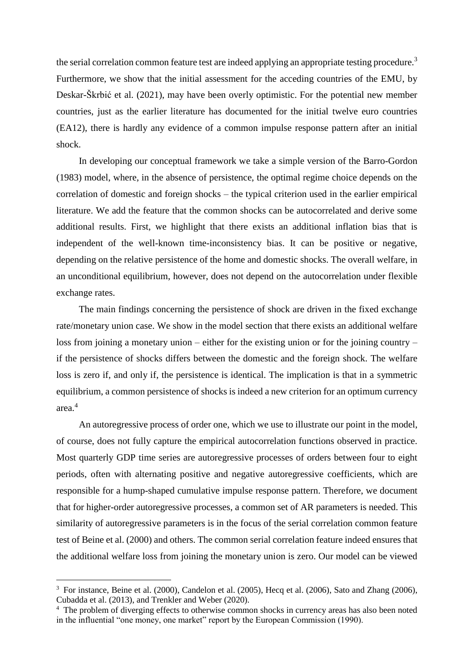the serial correlation common feature test are indeed applying an appropriate testing procedure.<sup>3</sup> Furthermore, we show that the initial assessment for the acceding countries of the EMU, by Deskar-Škrbić et al. (2021), may have been overly optimistic. For the potential new member countries, just as the earlier literature has documented for the initial twelve euro countries (EA12), there is hardly any evidence of a common impulse response pattern after an initial shock.

In developing our conceptual framework we take a simple version of the Barro-Gordon (1983) model, where, in the absence of persistence, the optimal regime choice depends on the correlation of domestic and foreign shocks – the typical criterion used in the earlier empirical literature. We add the feature that the common shocks can be autocorrelated and derive some additional results. First, we highlight that there exists an additional inflation bias that is independent of the well-known time-inconsistency bias. It can be positive or negative, depending on the relative persistence of the home and domestic shocks. The overall welfare, in an unconditional equilibrium, however, does not depend on the autocorrelation under flexible exchange rates.

The main findings concerning the persistence of shock are driven in the fixed exchange rate/monetary union case. We show in the model section that there exists an additional welfare loss from joining a monetary union – either for the existing union or for the joining country – if the persistence of shocks differs between the domestic and the foreign shock. The welfare loss is zero if, and only if, the persistence is identical. The implication is that in a symmetric equilibrium, a common persistence of shocks is indeed a new criterion for an optimum currency area.<sup>4</sup>

An autoregressive process of order one, which we use to illustrate our point in the model, of course, does not fully capture the empirical autocorrelation functions observed in practice. Most quarterly GDP time series are autoregressive processes of orders between four to eight periods, often with alternating positive and negative autoregressive coefficients, which are responsible for a hump-shaped cumulative impulse response pattern. Therefore, we document that for higher-order autoregressive processes, a common set of AR parameters is needed. This similarity of autoregressive parameters is in the focus of the serial correlation common feature test of Beine et al. (2000) and others. The common serial correlation feature indeed ensures that the additional welfare loss from joining the monetary union is zero. Our model can be viewed

<sup>&</sup>lt;sup>3</sup> For instance, Beine et al. (2000), Candelon et al. (2005), Hecq et al. (2006), Sato and Zhang (2006), Cubadda et al. (2013), and Trenkler and Weber (2020).

<sup>&</sup>lt;sup>4</sup> The problem of diverging effects to otherwise common shocks in currency areas has also been noted in the influential "one money, one market" report by the European Commission (1990).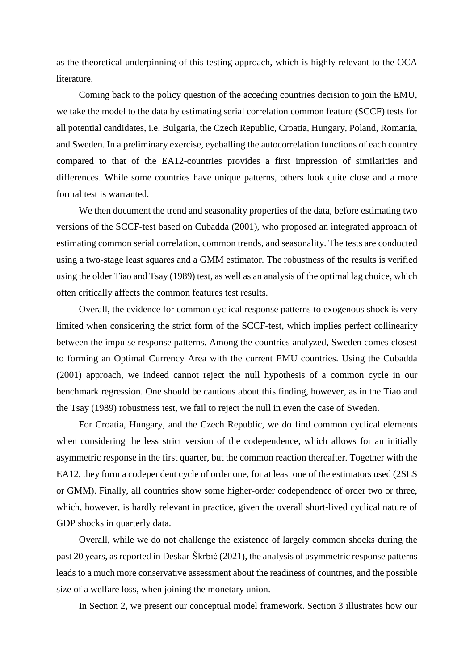as the theoretical underpinning of this testing approach, which is highly relevant to the OCA literature.

Coming back to the policy question of the acceding countries decision to join the EMU, we take the model to the data by estimating serial correlation common feature (SCCF) tests for all potential candidates, i.e. Bulgaria, the Czech Republic, Croatia, Hungary, Poland, Romania, and Sweden. In a preliminary exercise, eyeballing the autocorrelation functions of each country compared to that of the EA12-countries provides a first impression of similarities and differences. While some countries have unique patterns, others look quite close and a more formal test is warranted.

We then document the trend and seasonality properties of the data, before estimating two versions of the SCCF-test based on Cubadda (2001), who proposed an integrated approach of estimating common serial correlation, common trends, and seasonality. The tests are conducted using a two-stage least squares and a GMM estimator. The robustness of the results is verified using the older Tiao and Tsay (1989) test, as well as an analysis of the optimal lag choice, which often critically affects the common features test results.

Overall, the evidence for common cyclical response patterns to exogenous shock is very limited when considering the strict form of the SCCF-test, which implies perfect collinearity between the impulse response patterns. Among the countries analyzed, Sweden comes closest to forming an Optimal Currency Area with the current EMU countries. Using the Cubadda (2001) approach, we indeed cannot reject the null hypothesis of a common cycle in our benchmark regression. One should be cautious about this finding, however, as in the Tiao and the Tsay (1989) robustness test, we fail to reject the null in even the case of Sweden.

For Croatia, Hungary, and the Czech Republic, we do find common cyclical elements when considering the less strict version of the codependence, which allows for an initially asymmetric response in the first quarter, but the common reaction thereafter. Together with the EA12, they form a codependent cycle of order one, for at least one of the estimators used (2SLS or GMM). Finally, all countries show some higher-order codependence of order two or three, which, however, is hardly relevant in practice, given the overall short-lived cyclical nature of GDP shocks in quarterly data.

Overall, while we do not challenge the existence of largely common shocks during the past 20 years, as reported in Deskar-Škrbić (2021), the analysis of asymmetric response patterns leads to a much more conservative assessment about the readiness of countries, and the possible size of a welfare loss, when joining the monetary union.

In Section 2, we present our conceptual model framework. Section 3 illustrates how our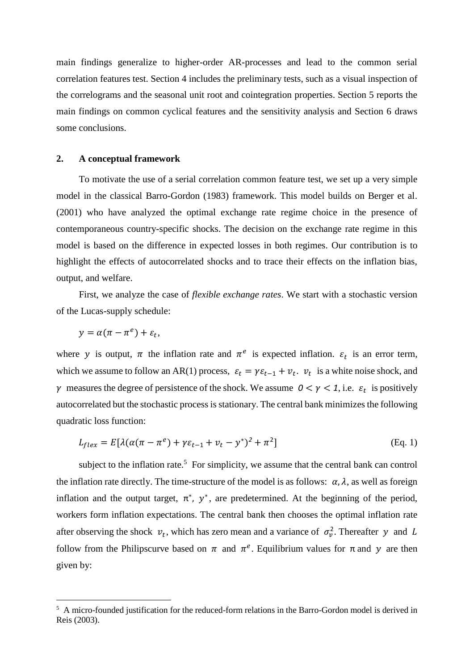main findings generalize to higher-order AR-processes and lead to the common serial correlation features test. Section 4 includes the preliminary tests, such as a visual inspection of the correlograms and the seasonal unit root and cointegration properties. Section 5 reports the main findings on common cyclical features and the sensitivity analysis and Section 6 draws some conclusions.

#### **2. A conceptual framework**

To motivate the use of a serial correlation common feature test, we set up a very simple model in the classical Barro-Gordon (1983) framework. This model builds on Berger et al. (2001) who have analyzed the optimal exchange rate regime choice in the presence of contemporaneous country-specific shocks. The decision on the exchange rate regime in this model is based on the difference in expected losses in both regimes. Our contribution is to highlight the effects of autocorrelated shocks and to trace their effects on the inflation bias, output, and welfare.

First, we analyze the case of *flexible exchange rates*. We start with a stochastic version of the Lucas-supply schedule:

$$
y = \alpha(\pi - \pi^e) + \varepsilon_t,
$$

**.** 

where y is output,  $\pi$  the inflation rate and  $\pi^e$  is expected inflation.  $\varepsilon_t$  is an error term, which we assume to follow an AR(1) process,  $\varepsilon_t = \gamma \varepsilon_{t-1} + v_t$ .  $v_t$  is a white noise shock, and  $\gamma$  measures the degree of persistence of the shock. We assume  $0 < \gamma < 1$ , i.e.  $\varepsilon_t$  is positively autocorrelated but the stochastic process is stationary. The central bank minimizes the following quadratic loss function:

$$
L_{flex} = E[\lambda(\alpha(\pi - \pi^e) + \gamma \varepsilon_{t-1} + \nu_t - y^*)^2 + \pi^2]
$$
 (Eq. 1)

subject to the inflation rate.<sup>5</sup> For simplicity, we assume that the central bank can control the inflation rate directly. The time-structure of the model is as follows:  $\alpha$ ,  $\lambda$ , as well as foreign inflation and the output target,  $\pi^*$ ,  $y^*$ , are predetermined. At the beginning of the period, workers form inflation expectations. The central bank then chooses the optimal inflation rate after observing the shock  $v_t$ , which has zero mean and a variance of  $\sigma_v^2$ . Thereafter y and L follow from the Philipscurve based on  $\pi$  and  $\pi^e$ . Equilibrium values for  $\pi$  and y are then given by:

<sup>&</sup>lt;sup>5</sup> A micro-founded justification for the reduced-form relations in the Barro-Gordon model is derived in Reis (2003).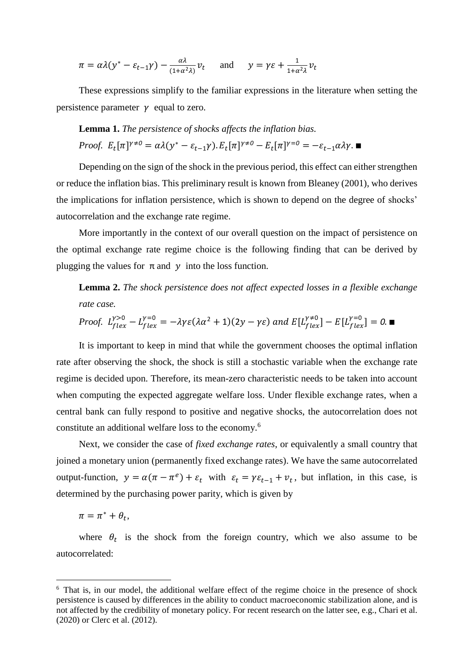$$
\pi = \alpha \lambda (y^* - \varepsilon_{t-1} \gamma) - \frac{\alpha \lambda}{(1 + \alpha^2 \lambda)} v_t \quad \text{and} \quad y = \gamma \varepsilon + \frac{1}{1 + \alpha^2 \lambda} v_t
$$

These expressions simplify to the familiar expressions in the literature when setting the persistence parameter  $\gamma$  equal to zero.

**Lemma 1.** The persistence of shocks affects the inflation bias.  
Proof. 
$$
E_t[\pi]^{\gamma \neq 0} = \alpha \lambda(y^* - \varepsilon_{t-1} \gamma). E_t[\pi]^{\gamma \neq 0} - E_t[\pi]^{\gamma=0} = -\varepsilon_{t-1} \alpha \lambda \gamma.
$$

Depending on the sign of the shock in the previous period, this effect can either strengthen or reduce the inflation bias. This preliminary result is known from Bleaney (2001), who derives the implications for inflation persistence, which is shown to depend on the degree of shocks' autocorrelation and the exchange rate regime.

More importantly in the context of our overall question on the impact of persistence on the optimal exchange rate regime choice is the following finding that can be derived by plugging the values for  $\pi$  and  $\gamma$  into the loss function.

**Lemma 2.** *The shock persistence does not affect expected losses in a flexible exchange rate case.*

*Proof.* 
$$
L_{flex}^{\gamma>0} - L_{flex}^{\gamma=0} = -\lambda \gamma \varepsilon (\lambda \alpha^2 + 1)(2y - \gamma \varepsilon)
$$
 and  $E[L_{flex}^{\gamma=0}] - E[L_{flex}^{\gamma=0}] = 0.$ 

It is important to keep in mind that while the government chooses the optimal inflation rate after observing the shock, the shock is still a stochastic variable when the exchange rate regime is decided upon. Therefore, its mean-zero characteristic needs to be taken into account when computing the expected aggregate welfare loss. Under flexible exchange rates, when a central bank can fully respond to positive and negative shocks, the autocorrelation does not constitute an additional welfare loss to the economy.<sup>6</sup>

Next, we consider the case of *fixed exchange rates*, or equivalently a small country that joined a monetary union (permanently fixed exchange rates). We have the same autocorrelated output-function,  $y = \alpha(\pi - \pi^e) + \varepsilon_t$  with  $\varepsilon_t = \gamma \varepsilon_{t-1} + \nu_t$ , but inflation, in this case, is determined by the purchasing power parity, which is given by

$$
\pi = \pi^* + \theta_t,
$$

**.** 

where  $\theta_t$  is the shock from the foreign country, which we also assume to be autocorrelated:

<sup>&</sup>lt;sup>6</sup> That is, in our model, the additional welfare effect of the regime choice in the presence of shock persistence is caused by differences in the ability to conduct macroeconomic stabilization alone, and is not affected by the credibility of monetary policy. For recent research on the latter see, e.g., Chari et al. (2020) or Clerc et al. (2012).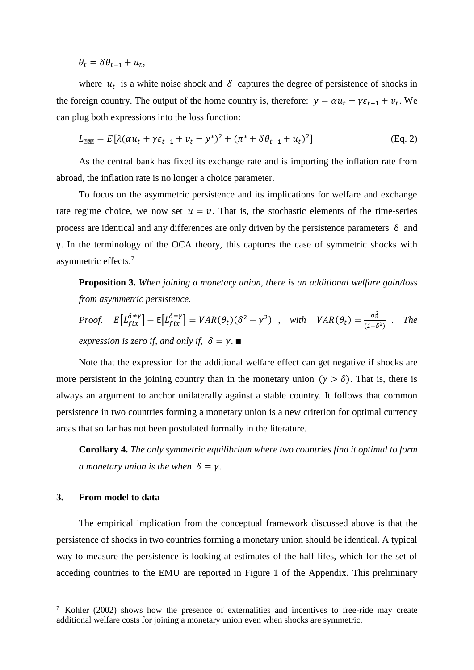$\theta_t = \delta \theta_{t-1} + u_t,$ 

where  $u_t$  is a white noise shock and  $\delta$  captures the degree of persistence of shocks in the foreign country. The output of the home country is, therefore:  $y = \alpha u_t + \gamma \varepsilon_{t-1} + v_t$ . We can plug both expressions into the loss function:

$$
L_{\text{RIR}} = E[\lambda(\alpha u_t + \gamma \varepsilon_{t-1} + v_t - y^*)^2 + (\pi^* + \delta \theta_{t-1} + u_t)^2]
$$
(Eq. 2)

As the central bank has fixed its exchange rate and is importing the inflation rate from abroad, the inflation rate is no longer a choice parameter.

To focus on the asymmetric persistence and its implications for welfare and exchange rate regime choice, we now set  $u = v$ . That is, the stochastic elements of the time-series process are identical and any differences are only driven by the persistence parameters δ and γ. In the terminology of the OCA theory, this captures the case of symmetric shocks with asymmetric effects.<sup>7</sup>

**Proposition 3.** *When joining a monetary union, there is an additional welfare gain/loss from asymmetric persistence*.

*Proof.* 
$$
E[L_{fix}^{\delta \neq \gamma}] - E[L_{fix}^{\delta = \gamma}] = VAR(\theta_t)(\delta^2 - \gamma^2)
$$
, with  $VAR(\theta_t) = \frac{\sigma_v^2}{(1 - \delta^2)}$ . The expression is zero if, and only if,  $\delta = \gamma$ .

Note that the expression for the additional welfare effect can get negative if shocks are more persistent in the joining country than in the monetary union  $(\gamma > \delta)$ . That is, there is always an argument to anchor unilaterally against a stable country. It follows that common persistence in two countries forming a monetary union is a new criterion for optimal currency areas that so far has not been postulated formally in the literature.

**Corollary 4.** *The only symmetric equilibrium where two countries find it optimal to form a* monetary union is the when  $\delta = \gamma$ .

# **3. From model to data**

**.** 

The empirical implication from the conceptual framework discussed above is that the persistence of shocks in two countries forming a monetary union should be identical. A typical way to measure the persistence is looking at estimates of the half-lifes, which for the set of acceding countries to the EMU are reported in Figure 1 of the Appendix. This preliminary

<sup>&</sup>lt;sup>7</sup> Kohler (2002) shows how the presence of externalities and incentives to free-ride may create additional welfare costs for joining a monetary union even when shocks are symmetric.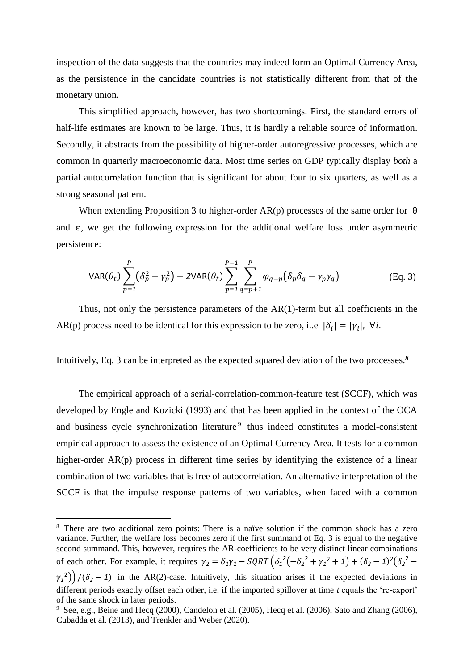inspection of the data suggests that the countries may indeed form an Optimal Currency Area, as the persistence in the candidate countries is not statistically different from that of the monetary union.

This simplified approach, however, has two shortcomings. First, the standard errors of half-life estimates are known to be large. Thus, it is hardly a reliable source of information. Secondly, it abstracts from the possibility of higher-order autoregressive processes, which are common in quarterly macroeconomic data. Most time series on GDP typically display *both* a partial autocorrelation function that is significant for about four to six quarters, as well as a strong seasonal pattern.

When extending Proposition 3 to higher-order  $AR(p)$  processes of the same order for  $\theta$ and  $\varepsilon$ , we get the following expression for the additional welfare loss under asymmetric persistence:

$$
VAR(\theta_t) \sum_{p=1}^P (\delta_p^2 - \gamma_p^2) + 2VAR(\theta_t) \sum_{p=1}^{P-1} \sum_{q=p+1}^P \varphi_{q-p} (\delta_p \delta_q - \gamma_p \gamma_q)
$$
(Eq. 3)

Thus, not only the persistence parameters of the  $AR(1)$ -term but all coefficients in the AR(p) process need to be identical for this expression to be zero, i.e  $|\delta_i| = |\gamma_i|$ ,  $\forall i$ .

Intuitively, Eq. 3 can be interpreted as the expected squared deviation of the two processes.*<sup>8</sup>*

The empirical approach of a serial-correlation-common-feature test (SCCF), which was developed by Engle and Kozicki (1993) and that has been applied in the context of the OCA and business cycle synchronization literature<sup>9</sup> thus indeed constitutes a model-consistent empirical approach to assess the existence of an Optimal Currency Area. It tests for a common higher-order AR(p) process in different time series by identifying the existence of a linear combination of two variables that is free of autocorrelation. An alternative interpretation of the SCCF is that the impulse response patterns of two variables, when faced with a common

<sup>&</sup>lt;sup>8</sup> There are two additional zero points: There is a naïve solution if the common shock has a zero variance. Further, the welfare loss becomes zero if the first summand of Eq. 3 is equal to the negative second summand. This, however, requires the AR-coefficients to be very distinct linear combinations of each other. For example, it requires  $\gamma_2 = \delta_1 \gamma_1 - SQRT \left( \delta_1^2 \left( -\delta_2^2 + \gamma_1^2 + 1 \right) + (\delta_2 - 1)^2 (\delta_2^2 \left(\gamma_1^2\right)/\left(\delta_2 - 1\right)$  in the AR(2)-case. Intuitively, this situation arises if the expected deviations in different periods exactly offset each other, i.e. if the imported spillover at time *t* equals the 're-export'

of the same shock in later periods.

<sup>&</sup>lt;sup>9</sup> See, e.g., Beine and Hecq (2000), Candelon et al. (2005), Hecq et al. (2006), Sato and Zhang (2006), Cubadda et al. (2013), and Trenkler and Weber (2020).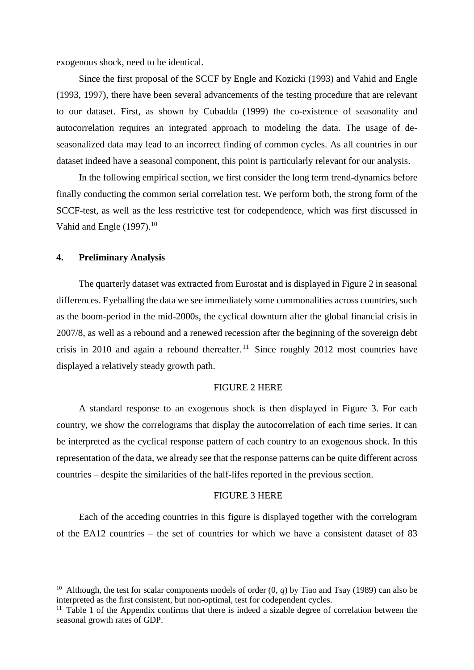exogenous shock, need to be identical.

Since the first proposal of the SCCF by Engle and Kozicki (1993) and Vahid and Engle (1993, 1997), there have been several advancements of the testing procedure that are relevant to our dataset. First, as shown by Cubadda (1999) the co-existence of seasonality and autocorrelation requires an integrated approach to modeling the data. The usage of deseasonalized data may lead to an incorrect finding of common cycles. As all countries in our dataset indeed have a seasonal component, this point is particularly relevant for our analysis.

In the following empirical section, we first consider the long term trend-dynamics before finally conducting the common serial correlation test. We perform both, the strong form of the SCCF-test, as well as the less restrictive test for codependence, which was first discussed in Vahid and Engle (1997).<sup>10</sup>

# **4. Preliminary Analysis**

**.** 

The quarterly dataset was extracted from Eurostat and is displayed in Figure 2 in seasonal differences. Eyeballing the data we see immediately some commonalities across countries, such as the boom-period in the mid-2000s, the cyclical downturn after the global financial crisis in 2007/8, as well as a rebound and a renewed recession after the beginning of the sovereign debt crisis in 2010 and again a rebound thereafter.<sup>11</sup> Since roughly 2012 most countries have displayed a relatively steady growth path.

# FIGURE 2 HERE

A standard response to an exogenous shock is then displayed in Figure 3. For each country, we show the correlograms that display the autocorrelation of each time series. It can be interpreted as the cyclical response pattern of each country to an exogenous shock. In this representation of the data, we already see that the response patterns can be quite different across countries – despite the similarities of the half-lifes reported in the previous section.

## FIGURE 3 HERE

Each of the acceding countries in this figure is displayed together with the correlogram of the EA12 countries – the set of countries for which we have a consistent dataset of 83

<sup>&</sup>lt;sup>10</sup> Although, the test for scalar components models of order  $(0, q)$  by Tiao and Tsay (1989) can also be interpreted as the first consistent, but non-optimal, test for codependent cycles.

 $11$  Table 1 of the Appendix confirms that there is indeed a sizable degree of correlation between the seasonal growth rates of GDP.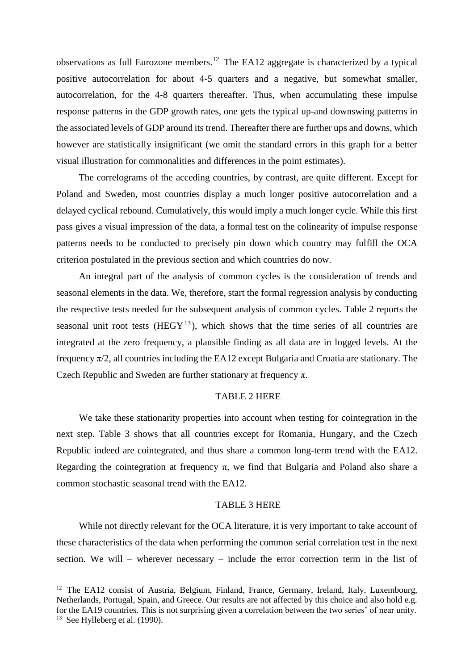observations as full Eurozone members.<sup>12</sup> The EA12 aggregate is characterized by a typical positive autocorrelation for about 4-5 quarters and a negative, but somewhat smaller, autocorrelation, for the 4-8 quarters thereafter. Thus, when accumulating these impulse response patterns in the GDP growth rates, one gets the typical up-and downswing patterns in the associated levels of GDP around its trend. Thereafter there are further ups and downs, which however are statistically insignificant (we omit the standard errors in this graph for a better visual illustration for commonalities and differences in the point estimates).

The correlograms of the acceding countries, by contrast, are quite different. Except for Poland and Sweden, most countries display a much longer positive autocorrelation and a delayed cyclical rebound. Cumulatively, this would imply a much longer cycle. While this first pass gives a visual impression of the data, a formal test on the colinearity of impulse response patterns needs to be conducted to precisely pin down which country may fulfill the OCA criterion postulated in the previous section and which countries do now.

An integral part of the analysis of common cycles is the consideration of trends and seasonal elements in the data. We, therefore, start the formal regression analysis by conducting the respective tests needed for the subsequent analysis of common cycles. Table 2 reports the seasonal unit root tests  $(HEGY<sup>13</sup>)$ , which shows that the time series of all countries are integrated at the zero frequency, a plausible finding as all data are in logged levels. At the frequency  $\pi/2$ , all countries including the EA12 except Bulgaria and Croatia are stationary. The Czech Republic and Sweden are further stationary at frequency  $\pi$ .

#### TABLE 2 HERE

We take these stationarity properties into account when testing for cointegration in the next step. Table 3 shows that all countries except for Romania, Hungary, and the Czech Republic indeed are cointegrated, and thus share a common long-term trend with the EA12. Regarding the cointegration at frequency  $\pi$ , we find that Bulgaria and Poland also share a common stochastic seasonal trend with the EA12.

# TABLE 3 HERE

While not directly relevant for the OCA literature, it is very important to take account of these characteristics of the data when performing the common serial correlation test in the next section. We will – wherever necessary – include the error correction term in the list of

<sup>&</sup>lt;sup>12</sup> The EA12 consist of Austria, Belgium, Finland, France, Germany, Ireland, Italy, Luxembourg, Netherlands, Portugal, Spain, and Greece. Our results are not affected by this choice and also hold e.g. for the EA19 countries. This is not surprising given a correlation between the two series' of near unity. <sup>13</sup> See Hylleberg et al. (1990).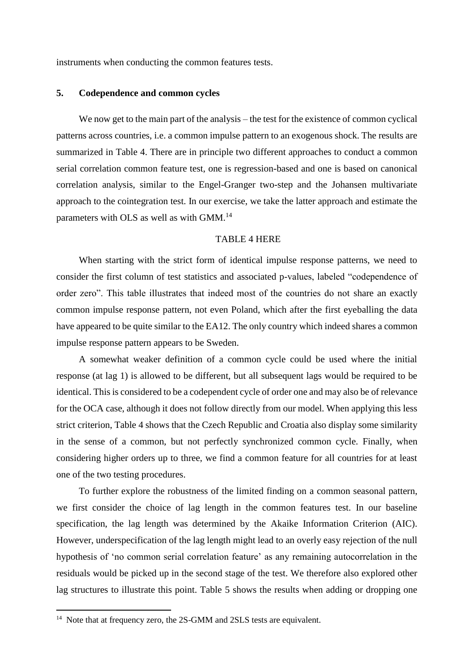instruments when conducting the common features tests.

# **5. Codependence and common cycles**

We now get to the main part of the analysis – the test for the existence of common cyclical patterns across countries, i.e. a common impulse pattern to an exogenous shock. The results are summarized in Table 4. There are in principle two different approaches to conduct a common serial correlation common feature test, one is regression-based and one is based on canonical correlation analysis, similar to the Engel-Granger two-step and the Johansen multivariate approach to the cointegration test. In our exercise, we take the latter approach and estimate the parameters with OLS as well as with GMM.<sup>14</sup>

# TABLE 4 HERE

When starting with the strict form of identical impulse response patterns, we need to consider the first column of test statistics and associated p-values, labeled "codependence of order zero". This table illustrates that indeed most of the countries do not share an exactly common impulse response pattern, not even Poland, which after the first eyeballing the data have appeared to be quite similar to the EA12. The only country which indeed shares a common impulse response pattern appears to be Sweden.

A somewhat weaker definition of a common cycle could be used where the initial response (at lag 1) is allowed to be different, but all subsequent lags would be required to be identical. This is considered to be a codependent cycle of order one and may also be of relevance for the OCA case, although it does not follow directly from our model. When applying this less strict criterion, Table 4 shows that the Czech Republic and Croatia also display some similarity in the sense of a common, but not perfectly synchronized common cycle. Finally, when considering higher orders up to three, we find a common feature for all countries for at least one of the two testing procedures.

To further explore the robustness of the limited finding on a common seasonal pattern, we first consider the choice of lag length in the common features test. In our baseline specification, the lag length was determined by the Akaike Information Criterion (AIC). However, underspecification of the lag length might lead to an overly easy rejection of the null hypothesis of 'no common serial correlation feature' as any remaining autocorrelation in the residuals would be picked up in the second stage of the test. We therefore also explored other lag structures to illustrate this point. Table 5 shows the results when adding or dropping one

<sup>&</sup>lt;sup>14</sup> Note that at frequency zero, the 2S-GMM and 2SLS tests are equivalent.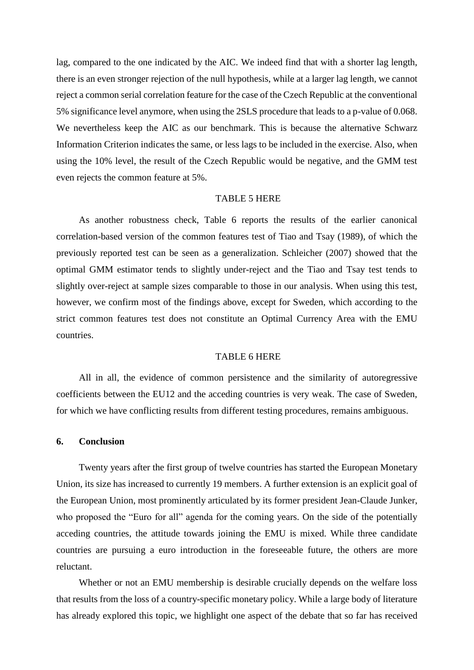lag, compared to the one indicated by the AIC. We indeed find that with a shorter lag length, there is an even stronger rejection of the null hypothesis, while at a larger lag length, we cannot reject a common serial correlation feature for the case of the Czech Republic at the conventional 5% significance level anymore, when using the 2SLS procedure that leads to a p-value of 0.068. We nevertheless keep the AIC as our benchmark. This is because the alternative Schwarz Information Criterion indicates the same, or less lags to be included in the exercise. Also, when using the 10% level, the result of the Czech Republic would be negative, and the GMM test even rejects the common feature at 5%.

#### TABLE 5 HERE

As another robustness check, Table 6 reports the results of the earlier canonical correlation-based version of the common features test of Tiao and Tsay (1989), of which the previously reported test can be seen as a generalization. Schleicher (2007) showed that the optimal GMM estimator tends to slightly under-reject and the Tiao and Tsay test tends to slightly over-reject at sample sizes comparable to those in our analysis. When using this test, however, we confirm most of the findings above, except for Sweden, which according to the strict common features test does not constitute an Optimal Currency Area with the EMU countries.

## TABLE 6 HERE

All in all, the evidence of common persistence and the similarity of autoregressive coefficients between the EU12 and the acceding countries is very weak. The case of Sweden, for which we have conflicting results from different testing procedures, remains ambiguous.

## **6. Conclusion**

Twenty years after the first group of twelve countries has started the European Monetary Union, its size has increased to currently 19 members. A further extension is an explicit goal of the European Union, most prominently articulated by its former president Jean-Claude Junker, who proposed the "Euro for all" agenda for the coming years. On the side of the potentially acceding countries, the attitude towards joining the EMU is mixed. While three candidate countries are pursuing a euro introduction in the foreseeable future, the others are more reluctant.

Whether or not an EMU membership is desirable crucially depends on the welfare loss that results from the loss of a country-specific monetary policy. While a large body of literature has already explored this topic, we highlight one aspect of the debate that so far has received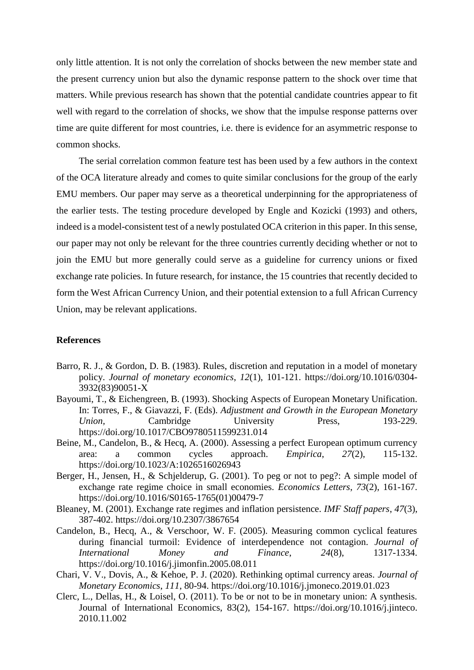only little attention. It is not only the correlation of shocks between the new member state and the present currency union but also the dynamic response pattern to the shock over time that matters. While previous research has shown that the potential candidate countries appear to fit well with regard to the correlation of shocks, we show that the impulse response patterns over time are quite different for most countries, i.e. there is evidence for an asymmetric response to common shocks.

The serial correlation common feature test has been used by a few authors in the context of the OCA literature already and comes to quite similar conclusions for the group of the early EMU members. Our paper may serve as a theoretical underpinning for the appropriateness of the earlier tests. The testing procedure developed by Engle and Kozicki (1993) and others, indeed is a model-consistent test of a newly postulated OCA criterion in this paper. In this sense, our paper may not only be relevant for the three countries currently deciding whether or not to join the EMU but more generally could serve as a guideline for currency unions or fixed exchange rate policies. In future research, for instance, the 15 countries that recently decided to form the West African Currency Union, and their potential extension to a full African Currency Union, may be relevant applications.

# **References**

- Barro, R. J., & Gordon, D. B. (1983). Rules, discretion and reputation in a model of monetary policy. *Journal of monetary economics*, *12*(1), 101-121. https://doi.org/10.1016/0304- 3932(83)90051-X
- Bayoumi, T., & Eichengreen, B. (1993). Shocking Aspects of European Monetary Unification. In: Torres, F., & Giavazzi, F. (Eds). *Adjustment and Growth in the European Monetary Union,* Cambridge University Press, 193-229. https://doi.org/10.1017/CBO9780511599231.014
- Beine, M., Candelon, B., & Hecq, A. (2000). Assessing a perfect European optimum currency area: a common cycles approach. *Empirica*, *27*(2), 115-132. https://doi.org/10.1023/A:1026516026943
- Berger, H., Jensen, H., & Schjelderup, G. (2001). To peg or not to peg?: A simple model of exchange rate regime choice in small economies. *Economics Letters*, *73*(2), 161-167. https://doi.org/10.1016/S0165-1765(01)00479-7
- Bleaney, M. (2001). Exchange rate regimes and inflation persistence. *IMF Staff papers*, *47*(3), 387-402. https://doi.org/10.2307/3867654
- Candelon, B., Hecq, A., & Verschoor, W. F. (2005). Measuring common cyclical features during financial turmoil: Evidence of interdependence not contagion. *Journal of International Money and Finance*, *24*(8), 1317-1334. https://doi.org/10.1016/j.jimonfin.2005.08.011
- Chari, V. V., Dovis, A., & Kehoe, P. J. (2020). Rethinking optimal currency areas. *Journal of Monetary Economics*, *111*, 80-94. https://doi.org/10.1016/j.jmoneco.2019.01.023
- Clerc, L., Dellas, H., & Loisel, O. (2011). To be or not to be in monetary union: A synthesis. Journal of International Economics, 83(2), 154-167. https://doi.org/10.1016/j.jinteco. 2010.11.002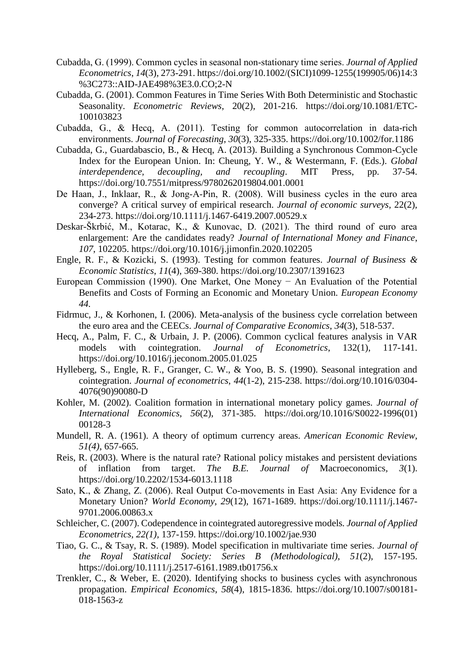- Cubadda, G. (1999). Common cycles in seasonal non‐stationary time series. *Journal of Applied Econometrics*, *14*(3), 273-291. https://doi.org/10.1002/(SICI)1099-1255(199905/06)14:3 %3C273::AID-JAE498%3E3.0.CO;2-N
- Cubadda, G. (2001). Common Features in Time Series With Both Deterministic and Stochastic Seasonality. *Econometric Reviews*, 20(2), 201-216. https://doi.org/10.1081/ETC-100103823
- Cubadda, G., & Hecq, A. (2011). Testing for common autocorrelation in data‐rich environments. *Journal of Forecasting*, *30*(3), 325-335. https://doi.org/10.1002/for.1186
- Cubadda, G., Guardabascio, B., & Hecq, A. (2013). Building a Synchronous Common-Cycle Index for the European Union. In: Cheung, Y. W., & Westermann, F. (Eds.). *Global interdependence, decoupling, and recoupling*. MIT Press, pp. 37-54. https://doi.org/10.7551/mitpress/9780262019804.001.0001
- De Haan, J., Inklaar, R., & Jong‐A‐Pin, R. (2008). Will business cycles in the euro area converge? A critical survey of empirical research. *Journal of economic surveys*, 22(2), 234-273. https://doi.org/10.1111/j.1467-6419.2007.00529.x
- Deskar-Škrbić, M., Kotarac, K., & Kunovac, D. (2021). The third round of euro area enlargement: Are the candidates ready? *Journal of International Money and Finance*, *107*, 102205. https://doi.org/10.1016/j.jimonfin.2020.102205
- Engle, R. F., & Kozicki, S. (1993). Testing for common features. *Journal of Business & Economic Statistics*, *11*(4), 369-380. https://doi.org/10.2307/1391623
- European Commission (1990). One Market, One Money − An Evaluation of the Potential Benefits and Costs of Forming an Economic and Monetary Union. *European Economy 44.*
- Fidrmuc, J., & Korhonen, I. (2006). Meta-analysis of the business cycle correlation between the euro area and the CEECs. *Journal of Comparative Economics*, *34*(3), 518-537.
- Hecq, A., Palm, F. C., & Urbain, J. P. (2006). Common cyclical features analysis in VAR models with cointegration. *Journal of Econometrics*, 132(1), 117-141. https://doi.org/10.1016/j.jeconom.2005.01.025
- Hylleberg, S., Engle, R. F., Granger, C. W., & Yoo, B. S. (1990). Seasonal integration and cointegration. *Journal of econometrics*, *44*(1-2), 215-238. https://doi.org/10.1016/0304- 4076(90)90080-D
- Kohler, M. (2002). Coalition formation in international monetary policy games. *Journal of International Economics*, *56*(2), 371-385. https://doi.org/10.1016/S0022-1996(01) 00128-3
- Mundell, R. A. (1961). A theory of optimum currency areas. *American Economic Review, 51(4)*, 657-665.
- Reis, R. (2003). Where is the natural rate? Rational policy mistakes and persistent deviations of inflation from target. *The B.E. Journal of* Macroeconomics*, 3*(1). https://doi.org/10.2202/1534-6013.1118
- Sato, K., & Zhang, Z. (2006). Real Output Co-movements in East Asia: Any Evidence for a Monetary Union? *World Economy*, *29*(12), 1671-1689. https://doi.org/10.1111/j.1467- 9701.2006.00863.x
- Schleicher, C. (2007). Codependence in cointegrated autoregressive models*. Journal of Applied Econometrics, 22(1),* 137-159. https://doi.org/10.1002/jae.930
- Tiao, G. C., & Tsay, R. S. (1989). Model specification in multivariate time series. *Journal of the Royal Statistical Society: Series B (Methodological)*, *51*(2), 157-195. https://doi.org/10.1111/j.2517-6161.1989.tb01756.x
- Trenkler, C., & Weber, E. (2020). Identifying shocks to business cycles with asynchronous propagation. *Empirical Economics*, *58*(4), 1815-1836. https://doi.org/10.1007/s00181- 018-1563-z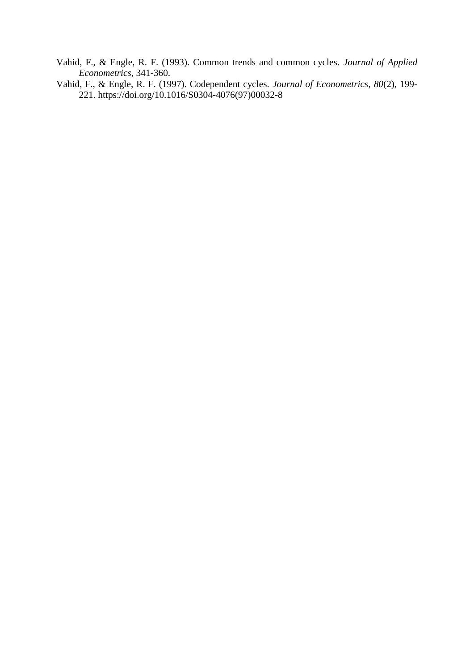- Vahid, F., & Engle, R. F. (1993). Common trends and common cycles. *Journal of Applied Econometrics*, 341-360.
- Vahid, F., & Engle, R. F. (1997). Codependent cycles. *Journal of Econometrics*, *80*(2), 199- 221. https://doi.org/10.1016/S0304-4076(97)00032-8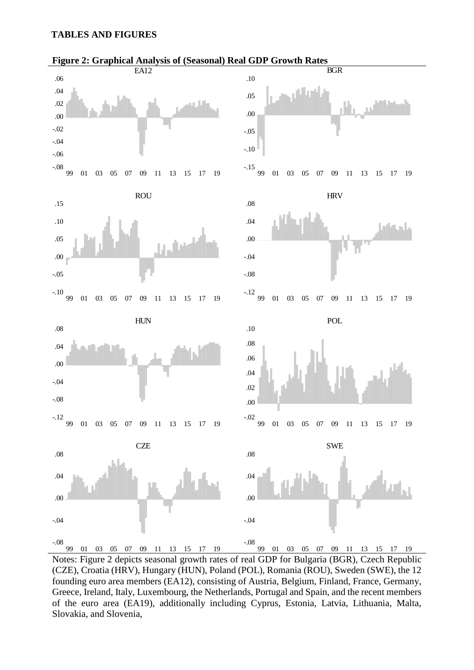## **TABLES AND FIGURES**



Notes: Figure 2 depicts seasonal growth rates of real GDP for Bulgaria (BGR), Czech Republic (CZE), Croatia (HRV), Hungary (HUN), Poland (POL), Romania (ROU), Sweden (SWE), the 12 founding euro area members (EA12), consisting of Austria, Belgium, Finland, France, Germany, Greece, Ireland, Italy, Luxembourg, the Netherlands, Portugal and Spain, and the recent members of the euro area (EA19), additionally including Cyprus, Estonia, Latvia, Lithuania, Malta, Slovakia, and Slovenia,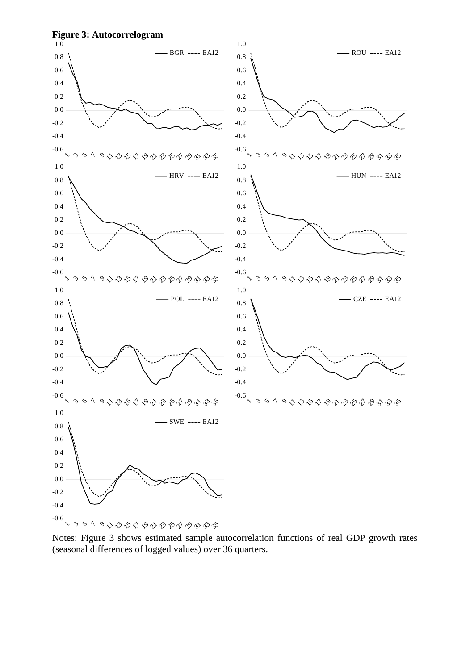

Notes: Figure 3 shows estimated sample autocorrelation functions of real GDP growth rates (seasonal differences of logged values) over 36 quarters.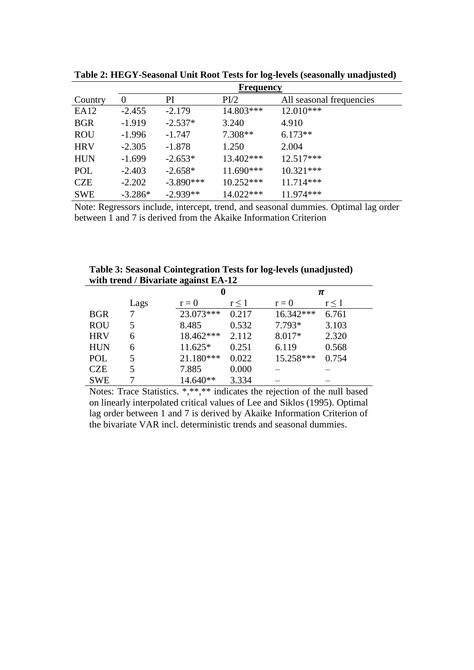|                  | <b>Frequency</b> |             |             |                          |  |  |  |  |  |  |
|------------------|------------------|-------------|-------------|--------------------------|--|--|--|--|--|--|
| Country          | $\theta$         | PI          | PI/2        | All seasonal frequencies |  |  |  |  |  |  |
| EA <sub>12</sub> | $-2.455$         | $-2.179$    | $14.803***$ | $12.010***$              |  |  |  |  |  |  |
| <b>BGR</b>       | $-1.919$         | $-2.537*$   | 3.240       | 4.910                    |  |  |  |  |  |  |
| <b>ROU</b>       | $-1.996$         | $-1.747$    | $7.308**$   | $6.173**$                |  |  |  |  |  |  |
| <b>HRV</b>       | $-2.305$         | $-1.878$    | 1.250       | 2.004                    |  |  |  |  |  |  |
| <b>HUN</b>       | $-1.699$         | $-2.653*$   | $13.402***$ | $12.517***$              |  |  |  |  |  |  |
| POL              | $-2.403$         | $-2.658*$   | $11.690***$ | $10.321***$              |  |  |  |  |  |  |
| <b>CZE</b>       | $-2.202$         | $-3.890***$ | $10.252***$ | $11.714***$              |  |  |  |  |  |  |
| <b>SWE</b>       | $-3.286*$        | $-2.939**$  | 14.022***   | 11.974 ***               |  |  |  |  |  |  |

**Table 2: HEGY-Seasonal Unit Root Tests for log-levels (seasonally unadjusted)**

Note: Regressors include, intercept, trend, and seasonal dummies. Optimal lag order between 1 and 7 is derived from the Akaike Information Criterion

**Table 3: Seasonal Cointegration Tests for log-levels (unadjusted) with trend / Bivariate against EA-12**

| with trefig $\mu$ Dryariate against EA-12 |      |           |       |           |            |  |  |  |  |
|-------------------------------------------|------|-----------|-------|-----------|------------|--|--|--|--|
|                                           |      | O         |       |           | π          |  |  |  |  |
|                                           | Lags | $r = 0$   | r<1   | $r = 0$   | $r \leq 1$ |  |  |  |  |
| <b>BGR</b>                                |      | 23.073*** | 0.217 | 16.342*** | 6.761      |  |  |  |  |
| <b>ROU</b>                                | 5.   | 8.485     | 0.532 | $7.793*$  | 3.103      |  |  |  |  |
| <b>HRV</b>                                | 6    | 18.462*** | 2.112 | 8.017*    | 2.320      |  |  |  |  |
| <b>HUN</b>                                | 6    | 11.625*   | 0.251 | 6.119     | 0.568      |  |  |  |  |
| POL                                       | 5    | 21.180*** | 0.022 | 15.258*** | 0.754      |  |  |  |  |
| <b>CZE</b>                                | 5    | 7.885     | 0.000 |           |            |  |  |  |  |
| <b>SWE</b>                                |      | 14.640**  | 3.334 |           |            |  |  |  |  |

Notes: Trace Statistics. \*,\*\*,\*\* indicates the rejection of the null based on linearly interpolated critical values of Lee and Siklos (1995). Optimal lag order between 1 and 7 is derived by Akaike Information Criterion of the bivariate VAR incl. deterministic trends and seasonal dummies.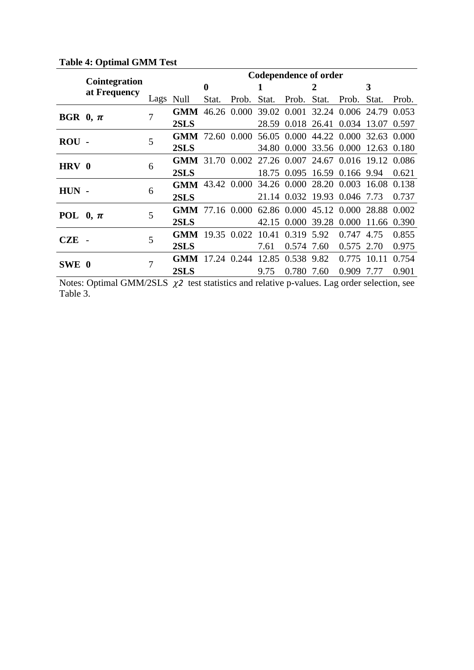|              |                                      |      | <b>Codependence of order</b>                               |       |             |       |                  |       |                                     |       |       |  |
|--------------|--------------------------------------|------|------------------------------------------------------------|-------|-------------|-------|------------------|-------|-------------------------------------|-------|-------|--|
|              | <b>Cointegration</b><br>at Frequency |      |                                                            | 0     |             |       |                  | 2     |                                     | 3     |       |  |
|              |                                      | Lags | Null                                                       | Stat. | Prob.       | Stat. | Prob.            | Stat. | Prob.                               | Stat. | Prob. |  |
| BGR $0, \pi$ |                                      | 7    | <b>GMM</b>                                                 |       | 46.26 0.000 |       |                  |       | 39.02 0.001 32.24 0.006 24.79       |       | 0.053 |  |
|              |                                      |      | 2SLS                                                       |       |             |       |                  |       | 28.59 0.018 26.41 0.034 13.07       |       | 0.597 |  |
| $ROU$ -      |                                      | 5    | <b>GMM</b> 72.60 0.000 56.05 0.000 44.22 0.000 32.63 0.000 |       |             |       |                  |       |                                     |       |       |  |
|              |                                      |      | 2SLS                                                       |       |             |       | 34.80 0.000      |       | 33.56 0.000 12.63                   |       | 0.180 |  |
| HRV 0        |                                      | 6    | GMM 31.70 0.002 27.26 0.007 24.67 0.016 19.12 0.086        |       |             |       |                  |       |                                     |       |       |  |
|              |                                      |      | 2SLS                                                       |       |             |       |                  |       | 18.75 0.095 16.59 0.166 9.94        |       | 0.621 |  |
| $HUN -$      |                                      | 6    | GMM 43.42 0.000 34.26 0.000 28.20 0.003 16.08              |       |             |       |                  |       |                                     |       | 0.138 |  |
|              |                                      |      | 2SLS                                                       |       |             |       |                  |       | 21.14 0.032 19.93 0.046 7.73        |       | 0.737 |  |
| POL $0, \pi$ |                                      | 5    | <b>GMM</b> 77.16 0.000                                     |       |             |       |                  |       | 62.86 0.000 45.12 0.000 28.88 0.002 |       |       |  |
|              |                                      |      | 2SLS                                                       |       |             |       | 42.15 0.000      |       | 39.28 0.000 11.66                   |       | 0.390 |  |
| <b>CZE</b>   |                                      | 5    | GMM 19.35 0.022 10.41 0.319 5.92                           |       |             |       |                  |       | 0.747 4.75                          |       | 0.855 |  |
|              |                                      |      | 2SLS                                                       |       |             | 7.61  | 0.574 7.60       |       | 0.575                               | 2.70  | 0.975 |  |
|              |                                      | 7    | <b>GMM</b>                                                 |       | 17.24 0.244 |       | 12.85 0.538 9.82 |       | 0.775                               | 10.11 | 0.754 |  |
| SWE 0        |                                      |      | 2SLS                                                       |       |             | 9.75  | 0.780            | 7.60  | 0.909 7.77                          |       | 0.901 |  |

# **Table 4: Optimal GMM Test**

Notes: Optimal GMM/2SLS  $\chi$ 2 test statistics and relative p-values. Lag order selection, see Table 3.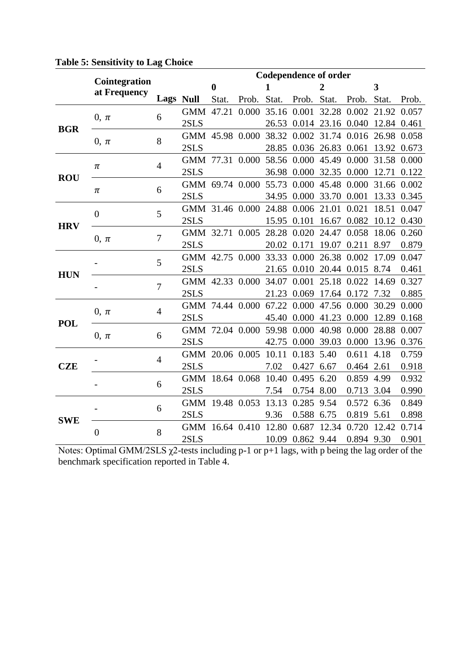|            |                               | <b>Codependence of order</b> |                                                                                                                                                                                                                               |          |                  |              |                         |                |                                                     |                   |       |
|------------|-------------------------------|------------------------------|-------------------------------------------------------------------------------------------------------------------------------------------------------------------------------------------------------------------------------|----------|------------------|--------------|-------------------------|----------------|-----------------------------------------------------|-------------------|-------|
|            | Cointegration<br>at Frequency |                              |                                                                                                                                                                                                                               | $\bf{0}$ |                  | $\mathbf{1}$ |                         | $\overline{2}$ |                                                     | 3                 |       |
|            |                               | Lags Null                    |                                                                                                                                                                                                                               |          |                  |              |                         |                | Stat. Prob. Stat. Prob. Stat. Prob. Stat. Prob.     |                   |       |
|            |                               | 6                            | GMM 47.21 0.000 35.16 0.001 32.28 0.002 21.92 0.057                                                                                                                                                                           |          |                  |              |                         |                |                                                     |                   |       |
|            | $0, \pi$                      |                              | 2SLS                                                                                                                                                                                                                          |          |                  |              |                         |                | 26.53 0.014 23.16 0.040 12.84 0.461                 |                   |       |
| <b>BGR</b> |                               | 8                            | GMM 45.98 0.000 38.32 0.002 31.74 0.016 26.98 0.058                                                                                                                                                                           |          |                  |              |                         |                |                                                     |                   |       |
|            | $0, \pi$                      |                              | 2SLS                                                                                                                                                                                                                          |          |                  |              |                         |                | 28.85 0.036 26.83 0.061 13.92 0.673                 |                   |       |
|            | $\pi$                         | $\overline{4}$               | GMM 77.31 0.000 58.56 0.000 45.49 0.000 31.58 0.000                                                                                                                                                                           |          |                  |              |                         |                |                                                     |                   |       |
| <b>ROU</b> |                               |                              | 2SLS and the set of the set of the set of the set of the set of the set of the set of the set of the set of the set of the set of the set of the set of the set of the set of the set of the set of the set of the set of the |          |                  |              |                         |                | 36.98 0.000 32.35 0.000 12.71 0.122                 |                   |       |
|            |                               | 6                            | GMM 69.74 0.000 55.73 0.000 45.48 0.000 31.66 0.002                                                                                                                                                                           |          |                  |              |                         |                |                                                     |                   |       |
|            | $\pi$                         |                              | 2SLS                                                                                                                                                                                                                          |          |                  |              | 34.95 0.000 33.70 0.001 |                |                                                     | 13.33 0.345       |       |
|            | $\overline{0}$                | 5                            | GMM 31.46 0.000 24.88 0.006 21.01 0.021 18.51 0.047                                                                                                                                                                           |          |                  |              |                         |                |                                                     |                   |       |
| <b>HRV</b> |                               |                              | 2SLS                                                                                                                                                                                                                          |          |                  |              | 15.95 0.101 16.67 0.082 |                |                                                     | 10.12 0.430       |       |
|            | $0, \pi$                      | $\overline{7}$               | GMM 32.71 0.005 28.28 0.020 24.47 0.058 18.06 0.260                                                                                                                                                                           |          |                  |              |                         |                |                                                     |                   |       |
|            |                               |                              | 2SLS                                                                                                                                                                                                                          |          |                  |              | 20.02 0.171 19.07 0.211 |                |                                                     | 8.97              | 0.879 |
|            |                               | 5                            | GMM 42.75 0.000 33.33 0.000 26.38 0.002 17.09 0.047                                                                                                                                                                           |          |                  |              |                         |                |                                                     |                   |       |
|            |                               |                              | 2SLS                                                                                                                                                                                                                          |          |                  |              |                         |                | 21.65 0.010 20.44 0.015 8.74                        |                   | 0.461 |
| <b>HUN</b> |                               | $\overline{7}$               |                                                                                                                                                                                                                               |          |                  |              |                         |                | GMM 42.33 0.000 34.07 0.001 25.18 0.022 14.69 0.327 |                   |       |
|            |                               |                              | 2SLS                                                                                                                                                                                                                          |          |                  |              |                         |                | 21.23 0.069 17.64 0.172 7.32                        |                   | 0.885 |
|            | $0, \pi$                      | $\overline{4}$               | GMM 74.44 0.000 67.22 0.000 47.56 0.000 30.29 0.000                                                                                                                                                                           |          |                  |              |                         |                |                                                     |                   |       |
| <b>POL</b> |                               |                              | 2SLS                                                                                                                                                                                                                          |          |                  |              |                         |                | 45.40 0.000 41.23 0.000 12.89 0.168                 |                   |       |
|            | $0, \pi$                      | 6                            | GMM 72.04 0.000 59.98 0.000 40.98 0.000 28.88 0.007                                                                                                                                                                           |          |                  |              |                         |                |                                                     |                   |       |
|            |                               |                              | 2SLS                                                                                                                                                                                                                          |          |                  |              |                         |                | 42.75 0.000 39.03 0.000 13.96 0.376                 |                   |       |
|            |                               | $\overline{4}$               | GMM 20.06 0.005 10.11 0.183 5.40                                                                                                                                                                                              |          |                  |              |                         |                | 0.611 4.18                                          |                   | 0.759 |
| <b>CZE</b> |                               |                              | 2SLS                                                                                                                                                                                                                          |          |                  | 7.02         | 0.427 6.67              |                | 0.464 2.61                                          |                   | 0.918 |
|            |                               | 6                            | GMM 18.64 0.068 10.40 0.495 6.20                                                                                                                                                                                              |          |                  |              |                         |                | 0.859 4.99                                          |                   | 0.932 |
|            |                               |                              | 2SLS                                                                                                                                                                                                                          |          |                  | 7.54         | 0.754 8.00              |                | 0.713 3.04                                          |                   | 0.990 |
|            |                               | 6                            | GMM 19.48 0.053 13.13 0.285 9.54                                                                                                                                                                                              |          |                  |              |                         |                | 0.572 6.36                                          |                   | 0.849 |
| <b>SWE</b> |                               |                              | 2SLS                                                                                                                                                                                                                          |          |                  | 9.36         | 0.588 6.75              |                | 0.819 5.61                                          |                   | 0.898 |
|            | $\overline{0}$                | 8                            | GMM 16.64 0.410 12.80 0.687 12.34                                                                                                                                                                                             |          |                  |              |                         |                |                                                     | 0.720 12.42 0.714 |       |
|            |                               |                              | 2SLS                                                                                                                                                                                                                          |          | 10.09 0.862 9.44 |              |                         |                | 0.894 9.30                                          |                   | 0.901 |

# **Table 5: Sensitivity to Lag Choice**

Notes: Optimal GMM/2SLS  $\chi$ 2-tests including p-1 or p+1 lags, with p being the lag order of the benchmark specification reported in Table 4.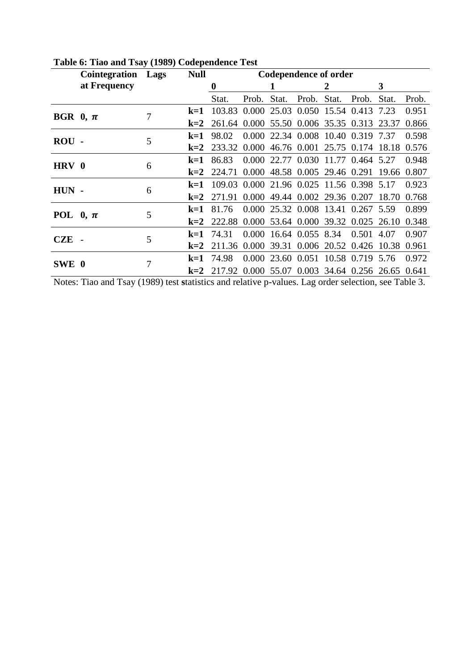|              | <b>Cointegration</b> Lags |   | <b>Null</b> | <b>Codependence of order</b>                     |       |       |                               |       |                                           |       |       |
|--------------|---------------------------|---|-------------|--------------------------------------------------|-------|-------|-------------------------------|-------|-------------------------------------------|-------|-------|
|              | at Frequency              |   |             | $\bf{0}$                                         |       |       |                               | 2     |                                           | 3     |       |
|              |                           |   |             | Stat.                                            | Prob. | Stat. | Prob.                         | Stat. | Prob.                                     | Stat. | Prob. |
| BGR $0, \pi$ |                           | 7 | $k=1$       | 103.83 0.000 25.03 0.050 15.54 0.413             |       |       |                               |       |                                           | 7.23  | 0.951 |
|              |                           |   | $k=2$       | 261.64 0.000 55.50 0.006 35.35 0.313 23.37       |       |       |                               |       |                                           |       | 0.866 |
| $ROU -$      |                           | 5 | $k=1$       | 98.02                                            |       |       |                               |       | 0.000 22.34 0.008 10.40 0.319 7.37        |       | 0.598 |
|              |                           |   | $k=2$       | 233.32                                           |       |       | 0.000 46.76 0.001 25.75 0.174 |       |                                           | 18.18 | 0.576 |
| HRV 0        |                           | 6 | $k=1$       | 86.83                                            |       |       |                               |       | 0.000 22.77 0.030 11.77 0.464 5.27        |       | 0.948 |
|              |                           |   | $k=2$       | 224.71                                           |       |       |                               |       | 0.000 48.58 0.005 29.46 0.291 19.66       |       | 0.807 |
| $HUN -$      |                           | 6 | $k=1$       | 109.03 0.000 21.96 0.025 11.56 0.398 5.17        |       |       |                               |       |                                           |       | 0.923 |
|              |                           |   | $k=2$       | 271.91                                           |       |       |                               |       | 0.000 49.44 0.002 29.36 0.207 18.70       |       | 0.768 |
|              |                           | 5 | $k=1$       | 81.76                                            |       |       |                               |       | 0.000 25.32 0.008 13.41 0.267 5.59        |       | 0.899 |
| POL $0, \pi$ |                           |   | $k=2$       | 222.88                                           |       |       |                               |       | 0.000 53.64 0.000 39.32 0.025 26.10       |       | 0.348 |
| $CZE$ -      |                           | 5 | $k=1$       | 74.31                                            |       |       |                               |       | $0.000$ 16.64 $0.055$ 8.34 0.501          | 4.07  | 0.907 |
|              |                           |   | $k=2$       | 211.36 0.000 39.31 0.006 20.52 0.426 10.38 0.961 |       |       |                               |       |                                           |       |       |
| SWE 0        |                           |   | $k=1$       | 74.98                                            |       |       |                               |       | 0.000 23.60 0.051 10.58 0.719 5.76        |       | 0.972 |
|              |                           | 7 | $k=2$       | 217.92                                           |       |       |                               |       | 0.000 55.07 0.003 34.64 0.256 26.65 0.641 |       |       |

**Table 6: Tiao and Tsay (1989) Codependence Test**

Notes: Tiao and Tsay (1989) test **s**tatistics and relative p-values. Lag order selection, see Table 3.